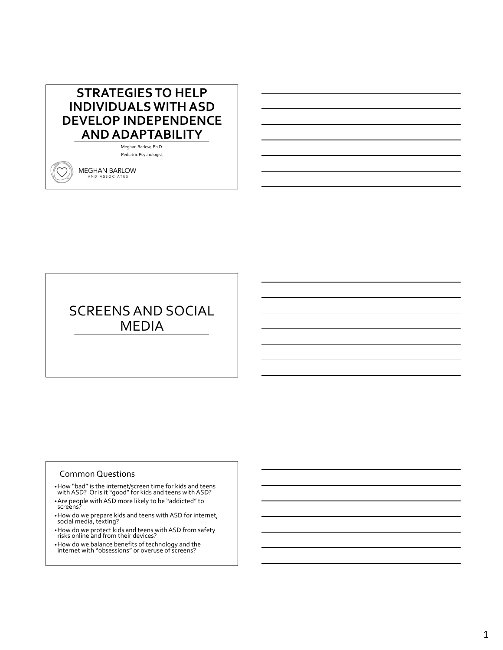## **STRATEGIES TO HELP INDIVIDUALS WITH ASD DEVELOP INDEPENDENCE AND ADAPTABILITY**

Meghan Barlow, Ph.D. Pediatric Psychologist

MEGHAN BARLOW AND ASSOCIATES

# SCREENS AND SOCIAL MEDIA

#### Common Questions

•How "bad" is the internet/screen time for kids and teens with ASD? Or is it "good" for kids and teens with ASD?

- •Are people with ASD more likely to be "addicted" to screens?
- •How do we prepare kids and teens with ASD for internet, social media, texting?
- •How do we protect kids and teens with ASD from safety risks online and from their devices?
- •How do we balance benefits of technology and the internet with "obsessions" or overuse of screens?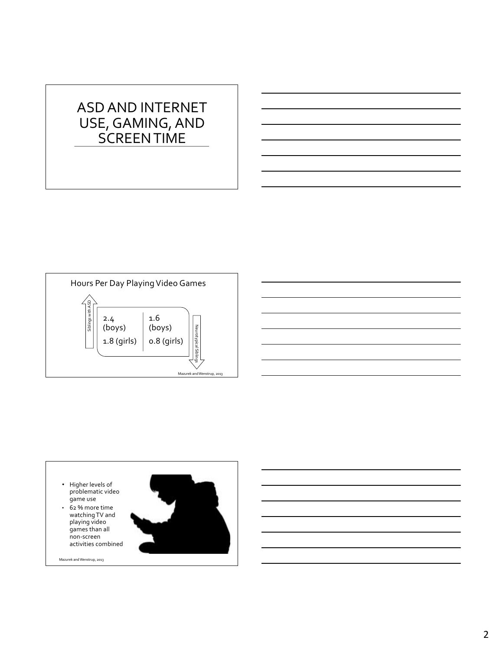# ASD AND INTERNET USE, GAMING, AND SCREEN TIME



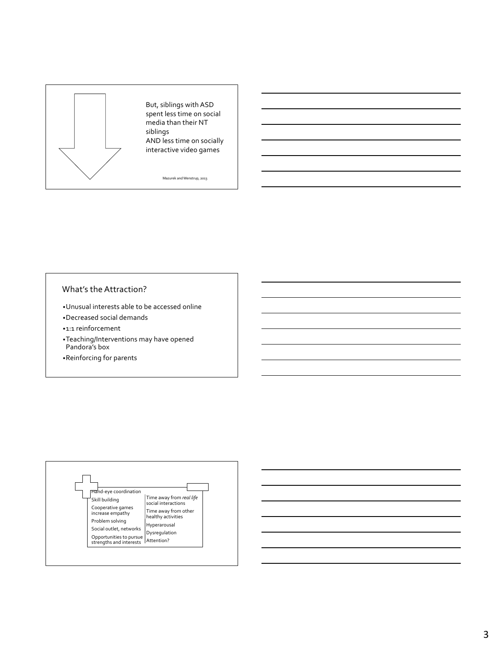

#### What's the Attraction?

- •Unusual interests able to be accessed online
- •Decreased social demands
- •1:1 reinforcement
- •Teaching/Interventions may have opened Pandora's box
- •Reinforcing for parents

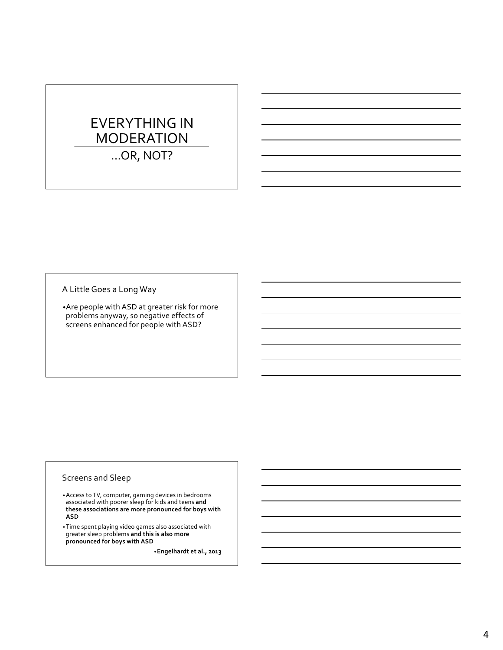# EVERYTHING IN MODERATION

…OR, NOT?

A Little Goes a Long Way

•Are people with ASD at greater risk for more problems anyway, so negative effects of screens enhanced for people with ASD?

#### Screens and Sleep

•Access to TV, computer, gaming devices in bedrooms associated with poorer sleep for kids and teens **and these associations are more pronounced for boys with ASD**

•Time spent playing video games also associated with greater sleep problems **and this is also more pronounced for boys with ASD**

•**Engelhardt et al., 2013**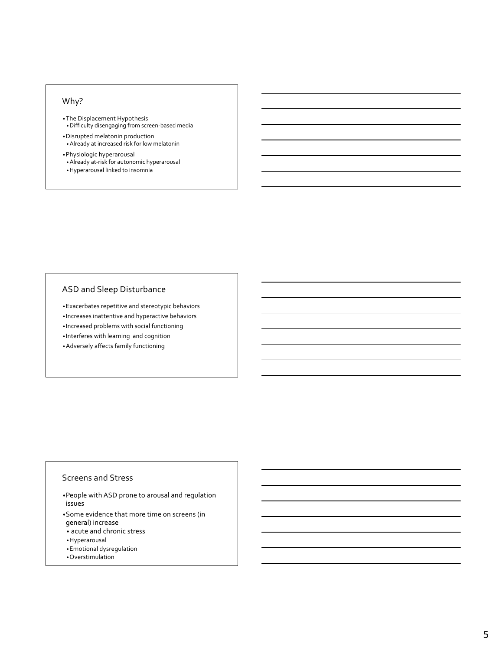## Why?

- •The Displacement Hypothesis •Difficulty disengaging from screen-based media
- •Disrupted melatonin production •Already at increased risk for low melatonin
- •Physiologic hyperarousal •Already at-risk for autonomic hyperarousal
- •Hyperarousal linked to insomnia

## ASD and Sleep Disturbance

- •Exacerbates repetitive and stereotypic behaviors
- Increases inattentive and hyperactive behaviors
- Increased problems with social functioning
- Interferes with learning and cognition
- •Adversely affects family functioning

#### Screens and Stress

- •People with ASD prone to arousal and regulation issues
- •Some evidence that more time on screens (in
- general) increase
- acute and chronic stress
- •Hyperarousal
- •Emotional dysregulation
- •Overstimulation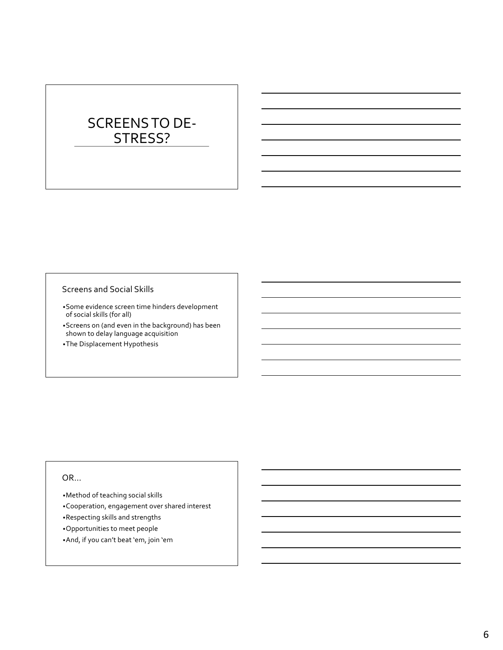# SCREENS TO DE-STRESS?

#### Screens and Social Skills

- •Some evidence screen time hinders development of social skills (for all)
- •Screens on (and even in the background) has been shown to delay language acquisition
- •The Displacement Hypothesis

#### OR…

- •Method of teaching social skills
- •Cooperation, engagement over shared interest
- •Respecting skills and strengths
- •Opportunities to meet people
- •And, if you can't beat 'em, join 'em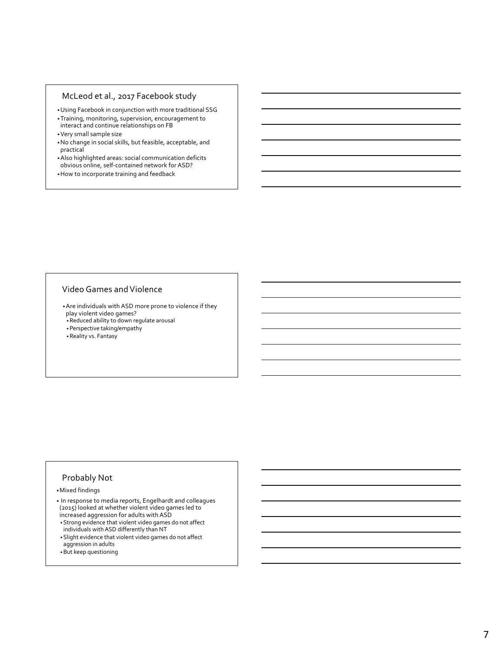#### McLeod et al., 2017 Facebook study

- •Using Facebook in conjunction with more traditional SSG
- •Training, monitoring, supervision, encouragement to interact and continue relationships on FB
- •Very small sample size
- •No change in social skills, but feasible, acceptable, and practical
- •Also highlighted areas: social communication deficits obvious online, self-contained network for ASD?
- •How to incorporate training and feedback

#### Video Games and Violence

•Are individuals with ASD more prone to violence if they play violent video games?

•Reduced ability to down regulate arousal

•Perspective taking/empathy

•Reality vs. Fantasy

#### Probably Not

•Mixed findings

• In response to media reports, Engelhardt and colleagues (2015) looked at whether violent video games led to increased aggression for adults with ASD

- •Strong evidence that violent video games do not affect individuals with ASD differently than NT
- •Slight evidence that violent video games do not affect
- aggression in adults
- •But keep questioning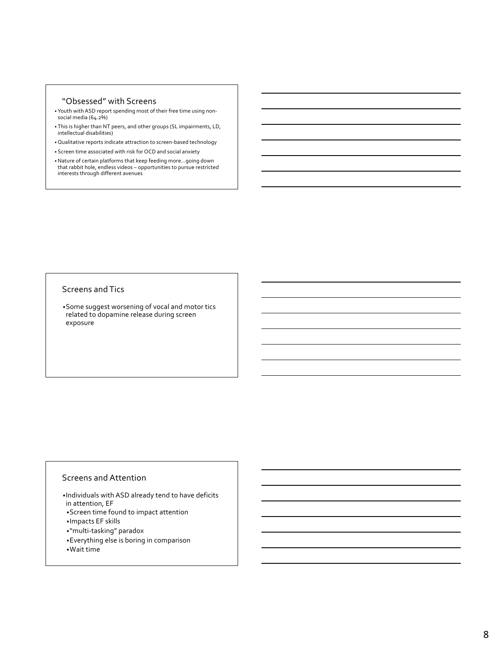#### "Obsessed" with Screens

- Youth with ASD report spending most of their free time using nonsocial media (64.2%)
- This is higher than NT peers, and other groups (SL impairments, LD, intellectual disabilities)
- Qualitative reports indicate attraction to screen-based technology
- Screen time associated with risk for OCD and social anxiety
- •Nature of certain platforms that keep feeding more…going down that rabbit hole, endless videos opportunities to pursue restricted interests through different avenues

#### Screens and Tics

•Some suggest worsening of vocal and motor tics related to dopamine release during screen exposure

#### Screens and Attention

- •Individuals with ASD already tend to have deficits in attention, EF
- •Screen time found to impact attention
- •Impacts EF skills
- •"multi-tasking" paradox
- •Everything else is boring in comparison
- •Wait time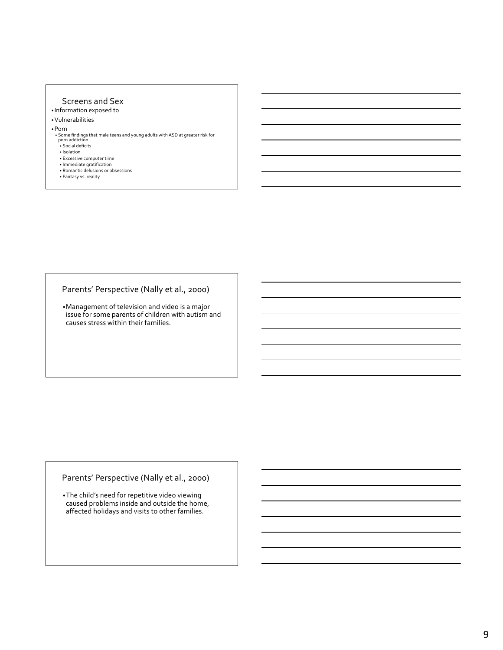#### Screens and Sex

• Information exposed to

#### •Vulnerabilities

- •Porn
	- Some findings that male teens and young adults with ASD at greater risk for<br>porn addiction<br>• Social deficits
	-
	- Isolation
	- Excessive computer time
	- Immediate gratification
	- Romantic delusions or obsessions Fantasy vs. reality

#### Parents' Perspective (Nally et al., 2000)

•Management of television and video is a major issue for some parents of children with autism and causes stress within their families.

#### Parents' Perspective (Nally et al., 2000)

•The child's need for repetitive video viewing caused problems inside and outside the home, affected holidays and visits to other families.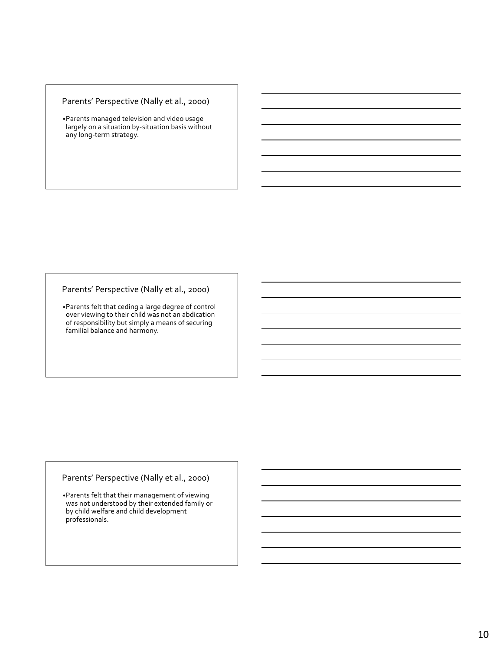#### Parents' Perspective (Nally et al., 2000)

•Parents managed television and video usage largely on a situation by-situation basis without any long-term strategy.

#### Parents' Perspective (Nally et al., 2000)

•Parents felt that ceding a large degree of control over viewing to their child was not an abdication of responsibility but simply a means of securing familial balance and harmony.

#### Parents' Perspective (Nally et al., 2000)

•Parents felt that their management of viewing was not understood by their extended family or by child welfare and child development professionals.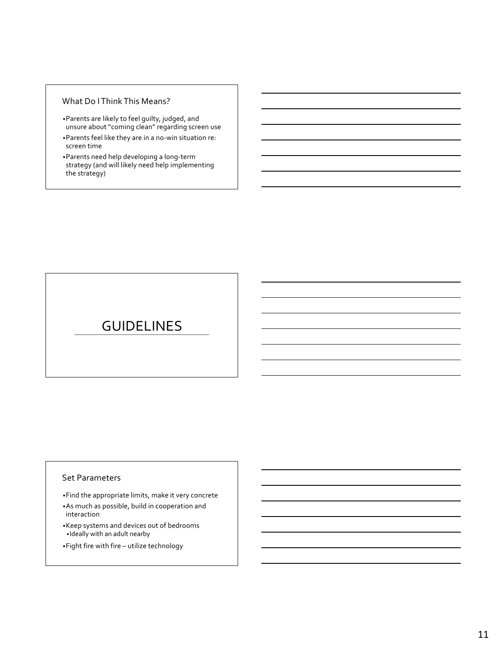#### What Do I Think This Means?

- •Parents are likely to feel guilty, judged, and unsure about "coming clean" regarding screen use
- •Parents feel like they are in a no-win situation re: screen time
- •Parents need help developing a long-term strategy (and will likely need help implementing the strategy)

## GUIDELINES

#### Set Parameters

- •Find the appropriate limits, make it very concrete
- •As much as possible, build in cooperation and interaction
- •Keep systems and devices out of bedrooms •Ideally with an adult nearby
- •Fight fire with fire utilize technology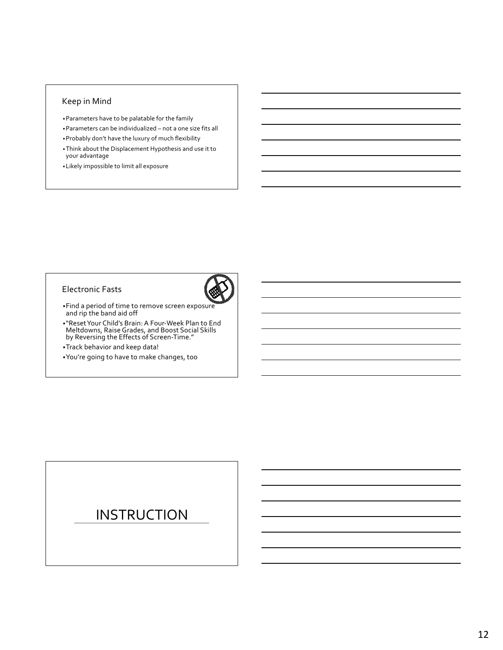#### Keep in Mind

- •Parameters have to be palatable for the family
- •Parameters can be individualized not a one size fits all
- •Probably don't have the luxury of much flexibility
- •Think about the Displacement Hypothesis and use it to your advantage
- •Likely impossible to limit all exposure

#### Electronic Fasts



- •Find a period of time to remove screen exposure and rip the band aid off
- •"Reset Your Child's Brain: A Four-Week Plan to End Meltdowns, Raise Grades, and Boost Social Skills by Reversing the Effects of Screen-Time."
- •Track behavior and keep data!
- •You're going to have to make changes, too

## **INSTRUCTION**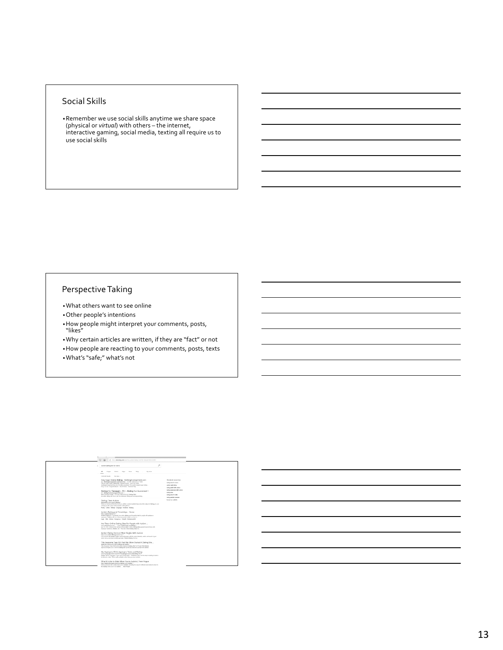#### Social Skills

•Remember we use social skills anytime we share space (physical or *virtual*) with others – the internet, interactive gaming, social media, texting all require us to use social skills

#### Perspective Taking

- •What others want to see online
- •Other people's intentions
- •How people might interpret your comments, posts, "likes"
- •Why certain articles are written, if they are "fact" or not
- •How people are reacting to your comments, posts, texts •What's "safe;" what's not

| $O$ $\Omega$                                                                                                                                                                                                                                                                                                                                              |                                                                                               |
|-----------------------------------------------------------------------------------------------------------------------------------------------------------------------------------------------------------------------------------------------------------------------------------------------------------------------------------------------------------|-----------------------------------------------------------------------------------------------|
| A https://www.bing.com/country-aution-dating-site-for-terrors/10186-03833                                                                                                                                                                                                                                                                                 |                                                                                               |
| autism dating site for teers                                                                                                                                                                                                                                                                                                                              | o                                                                                             |
| $\mathbf{A}$<br>My seven<br>Motives<br><b>Inspect</b><br><b>Mature</b><br>Shop<br>Marie                                                                                                                                                                                                                                                                   |                                                                                               |
| 2 853 801 Farada<br>Ancience +                                                                                                                                                                                                                                                                                                                            |                                                                                               |
| Easy Sugar Daddy Dating - SeekingArrangement.com<br>At Sectional concerned conclusions on a 11,000- following an Telling<br>Official Surger Davidy Earding Silve - Hidden Friendly - July Free Taday<br>SeekingArrangement has oner 12 million members! The world's largest sugar dating<br>Cass To Use - Largest Network - How It Works - Financial Help | Related searches<br>dating shot for towns<br>action and clating<br>dating a full with pulses  |
| Datings For Teenagers - Flirt - Dating Fun Guaranteed !<br>At data-pulsaketeragers.fbt.com v.<br>Meet Someona Steake - For Free, Data at US's #1 Deliver Nite!<br>An unline dating site line to join for anistrusive firting and ancompromising.                                                                                                          | dating earneene with sullers<br>dating about<br>deting shas for kids<br>deling a stimic woman |
| Dating Teen Autism<br>becausings completely to their v.<br>When we last beard from the barroone added resident author; neen about the milited of dating, he was<br>coming up with a plan for the parents of the girl bals.<br>Poets Latters Skilnen Longager Emotion Bulletin                                                                             | la my tour audatic                                                                            |
| Autistic Dating and Friendships - Home<br>https://watleticulating.net.w<br>Autiede Dating is a completely has online deling and Hershilds alte for people with authors or<br>superport. Register with us to find your perfect match, we have a<br>Legis Oldz Arkins Rassieros Emild9 Notiansup28                                                          |                                                                                               |
| Are There Online Dating Sites For People with Autism<br>www.collombronto.com Love, Relationships and Deling .<br>Apr 31, 2014 : what are the names of these wises? Online Dating wises passed towards throw with<br>Aspenger Eyedroma, Auditect, etc.7 The only Oxfore Batting when I've.                                                                 |                                                                                               |
| Autism Dating Service   Meet Singles With Autism<br>https://www.autlendetingeervice.com =<br>Get is touch with authoric singles and meet people with the same interests, words, and meets in your<br>areal Join us and start-meeting up teday! Autlam Darling Service                                                                                     |                                                                                               |
| This Awesome Teen Girl And Her Morn Started A Dating Site<br>www.info.com/sors/112411/cdeding-site-authors =<br>This Assocrats Taxas Got And Har Mary Storted A Badley, Site For Pargin With Authors<br>Spectrum Singles cars in the first dating site specificals takened to propin with authors.                                                        |                                                                                               |
| My Aspergers Child: Aspergers Teens and Dating<br>www.receiperpenchild.com/2010/10/assimpara-teams and data-g first 1<br>Dating Tips for Aspergers Teams and Young Adults- Needless in sec. the first step in sterling to date in<br>in discover a risks. This is made probably easier than you may envision.                                             |                                                                                               |
| What It's Like to Date When You're Autistic   Teen Voque<br>https://www.tennecque.com/stoy/duting-vibro-autietic v<br>Find out what its like to date when you're audieble, including the ways if a different and similar to what if's<br>the define when you're not authoric  Twen Visions                                                                |                                                                                               |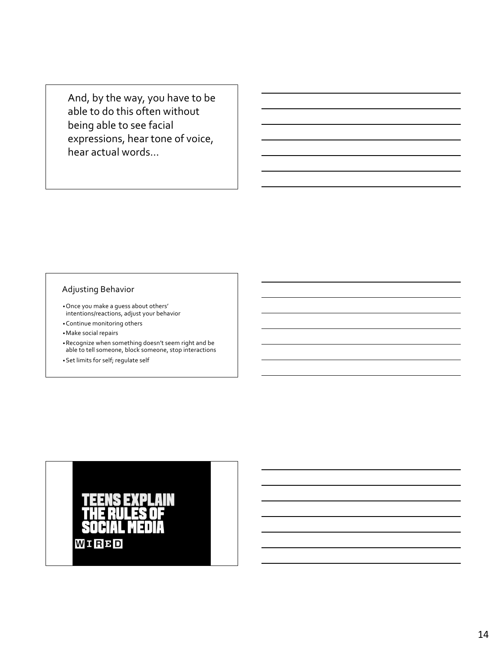And, by the way, you have to be able to do this often without being able to see facial expressions, hear tone of voice, hear actual words…

#### Adjusting Behavior

- •Once you make a guess about others' intentions/reactions, adjust your behavior
- •Continue monitoring others
- •Make social repairs
- •Recognize when something doesn't seem right and be able to tell someone, block someone, stop interactions
- •Set limits for self; regulate self

# WIRBD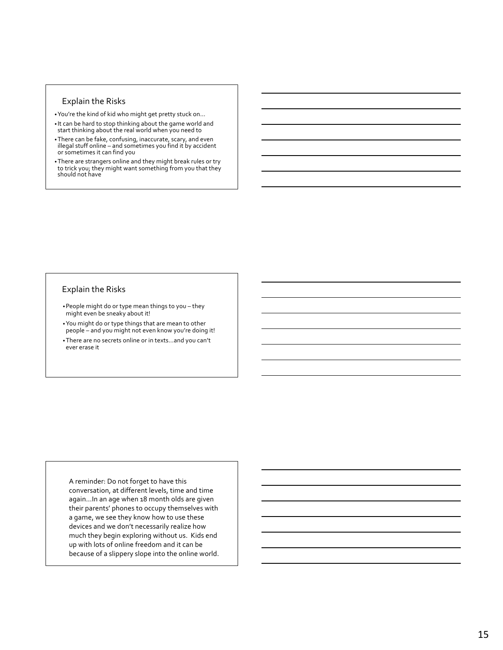#### Explain the Risks

- •You're the kind of kid who might get pretty stuck on…
- It can be hard to stop thinking about the game world and start thinking about the real world when you need to
- •There can be fake, confusing, inaccurate, scary, and even illegal stuff online – and sometimes you find it by accident or sometimes it can find you
- •There are strangers online and they might break rules or try to trick you; they might want something from you that they should not have

#### Explain the Risks

- •People might do or type mean things to you they might even be sneaky about it!
- •You might do or type things that are mean to other people – and you might not even know you're doing it!
- •There are no secrets online or in texts…and you can't ever erase it

A reminder: Do not forget to have this conversation, at different levels, time and time again…In an age when 18 month olds are given their parents' phones to occupy themselves with a game, we see they know how to use these devices and we don't necessarily realize how much they begin exploring without us. Kids end up with lots of online freedom and it can be because of a slippery slope into the online world.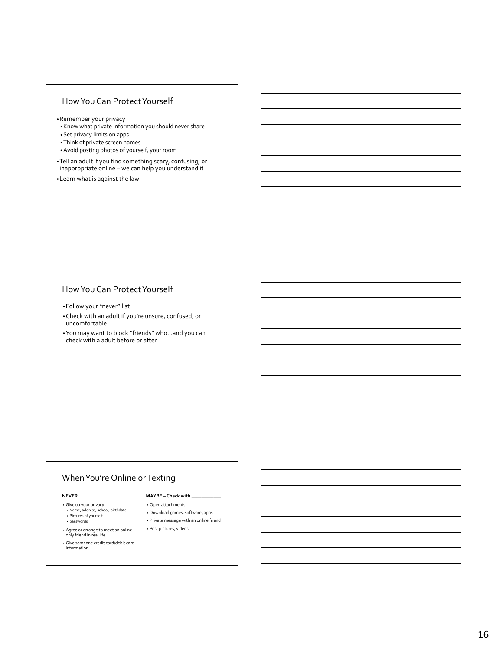#### How You Can Protect Yourself

- •Remember your privacy
- •Know what private information you should never share
- •Set privacy limits on apps
- •Think of private screen names
- •Avoid posting photos of yourself, your room
- •Tell an adult if you find something scary, confusing, or inappropriate online – we can help you understand it
- •Learn what is against the law

#### How You Can Protect Yourself

- •Follow your "never" list
- •Check with an adult if you're unsure, confused, or uncomfortable
- •You may want to block "friends" who…and you can check with a adult before or after

#### When You're Online or Texting

#### **NEVER**

- Give up your privacy Name, address, school, birthdate
- Pictures of yourself
- passwords
- Agree or arrange to meet an online-only friend in real life
- Give someone credit card/debit card information
- **MAYBE – Check with \_\_\_\_\_\_\_\_\_\_\_\_**
- Open attachments
- Download games, software, apps
- Private message with an online friend • Post pictures, videos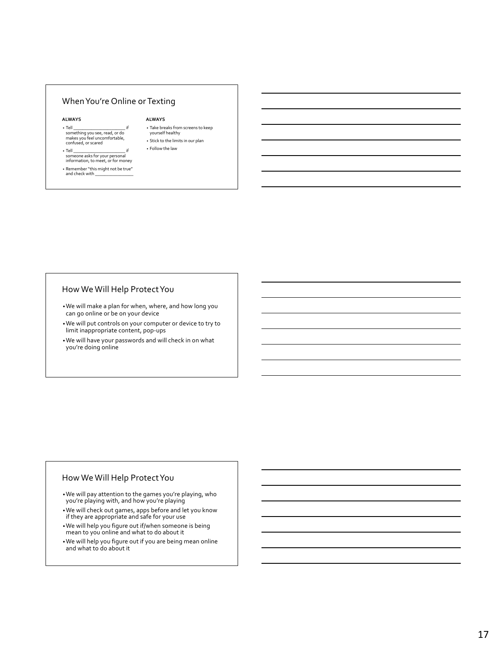#### When You're Online or Texting

#### **ALWAYS**

- Tell \_\_\_\_\_\_\_\_\_\_\_\_\_\_\_\_\_\_\_\_\_\_\_ if something you see, read, or do makes you feel uncomfortable, confused, or scared
- Tell \_\_\_\_\_\_\_\_\_\_\_\_\_\_\_\_\_\_\_\_\_\_\_ if someone asks for your personal information, to meet, or for money
- Remember "this might not be true" and check with \_\_\_\_\_\_\_\_\_\_\_\_\_\_\_\_\_

#### **ALWAYS**

- Take breaks from screens to keep yourself healthy
- Stick to the limits in our plan • Follow the law

- How We Will Help Protect You
- •We will make a plan for when, where, and how long you can go online or be on your device
- •We will put controls on your computer or device to try to limit inappropriate content, pop-ups
- •We will have your passwords and will check in on what you're doing online

#### How We Will Help Protect You

•We will pay attention to the games you're playing, who you're playing with, and how you're playing

- •We will check out games, apps before and let you know if they are appropriate and safe for your use
- •We will help you figure out if/when someone is being mean to you online and what to do about it
- •We will help you figure out if you are being mean online and what to do about it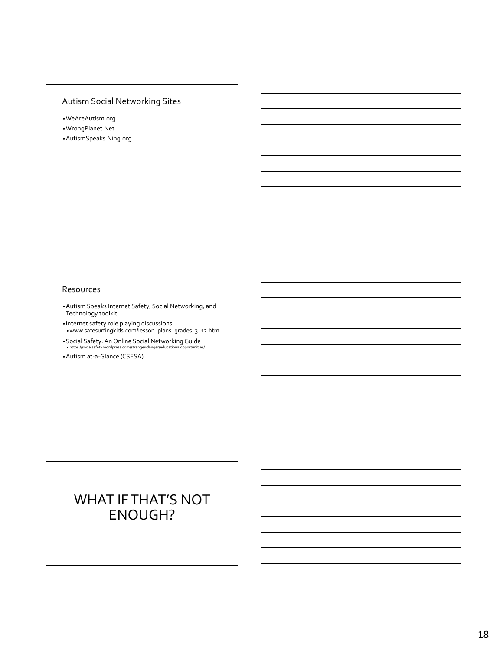## Autism Social Networking Sites

- •WeAreAutism.org
- •WrongPlanet.Net •AutismSpeaks.Ning.org

#### Resources

- •Autism Speaks Internet Safety, Social Networking, and Technology toolkit
- Internet safety role playing discussions •www.safesurfingkids.com/lesson\_plans\_grades\_3\_12.htm
- •Social Safety: An Online Social Networking Guide • https://socialsafety.wordpress.com/stranger-danger/educationalopportunities/
- •Autism at-a-Glance (CSESA)

# WHAT IF THAT'S NOT ENOUGH?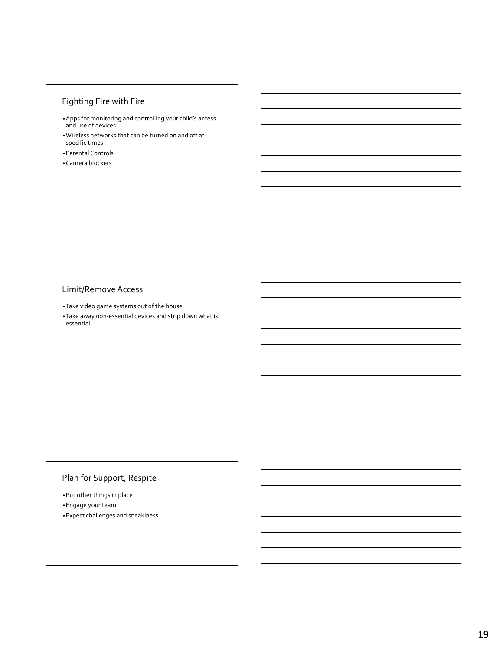## Fighting Fire with Fire

- •Apps for monitoring and controlling your child's access and use of devices
- •Wireless networks that can be turned on and off at specific times
- •Parental Controls
- •Camera blockers

#### Limit/Remove Access

- •Take video game systems out of the house
- •Take away non-essential devices and strip down what is essential

#### Plan for Support, Respite

•Put other things in place •Engage your team •Expect challenges and sneakiness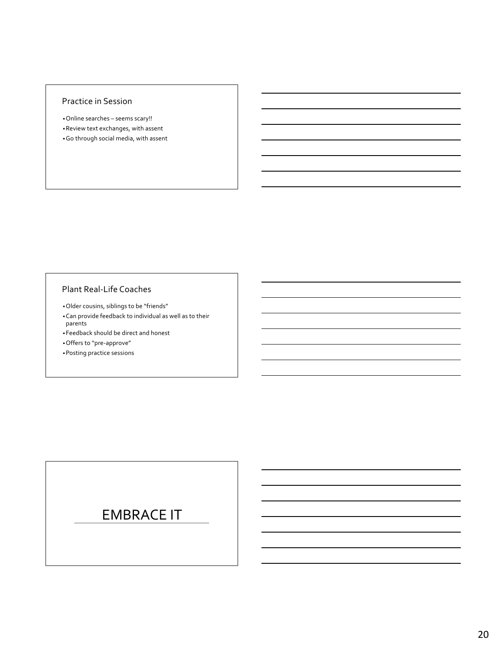#### Practice in Session

•Online searches – seems scary!! •Review text exchanges, with assent •Go through social media, with assent

#### Plant Real-Life Coaches

•Older cousins, siblings to be "friends"

•Can provide feedback to individual as well as to their parents

•Feedback should be direct and honest

•Offers to "pre-approve"

•Posting practice sessions

## EMBRACE IT